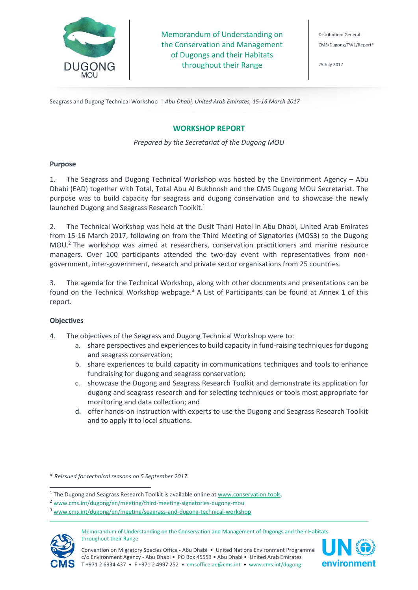

Memorandum of Understanding on the Conservation and Management of Dugongs and their Habitats throughout their Range

Distribution: General CMS/Dugong/TW1/Report\*

25 July 2017

Seagrass and Dugong Technical Workshop | *Abu Dhabi, United Arab Emirates, 15-16 March 2017*

# **WORKSHOP REPORT**

# *Prepared by the Secretariat of the Dugong MOU*

# **Purpose**

1. The Seagrass and Dugong Technical Workshop was hosted by the Environment Agency – Abu Dhabi (EAD) together with Total, Total Abu Al Bukhoosh and the CMS Dugong MOU Secretariat. The purpose was to build capacity for seagrass and dugong conservation and to showcase the newly launched Dugong and Seagrass Research Toolkit.<sup>1</sup>

2. The Technical Workshop was held at the Dusit Thani Hotel in Abu Dhabi, United Arab Emirates from 15-16 March 2017, following on from the Third Meeting of Signatories (MOS3) to the Dugong MOU.<sup>2</sup> The workshop was aimed at researchers, conservation practitioners and marine resource managers. Over 100 participants attended the two-day event with representatives from nongovernment, inter-government, research and private sector organisations from 25 countries.

3. The agenda for the Technical Workshop, along with other documents and presentations can be found on the Technical Workshop webpage.<sup>3</sup> A List of Participants can be found at Annex 1 of this report.

# **Objectives**

- 4. The objectives of the Seagrass and Dugong Technical Workshop were to:
	- a. share perspectives and experiences to build capacity in fund-raising techniques for dugong and seagrass conservation;
	- b. share experiences to build capacity in communications techniques and tools to enhance fundraising for dugong and seagrass conservation;
	- c. showcase the Dugong and Seagrass Research Toolkit and demonstrate its application for dugong and seagrass research and for selecting techniques or tools most appropriate for monitoring and data collection; and
	- d. offer hands-on instruction with experts to use the Dugong and Seagrass Research Toolkit and to apply it to local situations.

\* *Reissued for technical reasons on 5 September 2017.*

<sup>&</sup>lt;sup>3</sup> [www.cms.int/dugong/en/meeting/seagrass-and-dugong-technical-workshop](http://www.cms.int/dugong/en/meeting/seagrass-and-dugong-technical-workshop)



j

Memorandum of Understanding on the Conservation and Management of Dugongs and their Habitats throughout their Range





<sup>&</sup>lt;sup>1</sup> The Dugong and Seagrass Research Toolkit is available online a[t www.conservation.tools.](http://www.conservation.tools/)

<sup>2</sup> [www.cms.int/dugong/en/meeting/third-meeting-signatories-dugong-mou](http://www.cms.int/dugong/en/meeting/third-meeting-signatories-dugong-mou)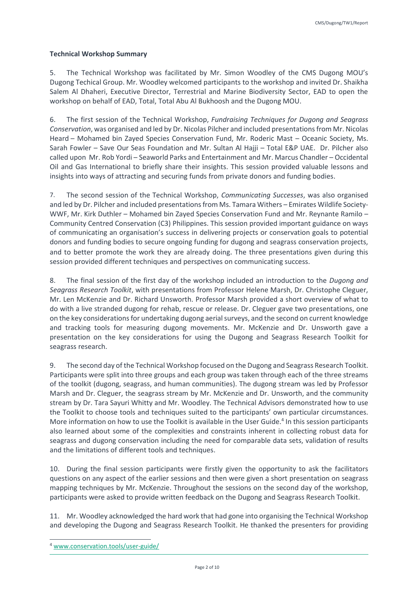# **Technical Workshop Summary**

5. The Technical Workshop was facilitated by Mr. Simon Woodley of the CMS Dugong MOU's Dugong Techical Group. Mr. Woodley welcomed participants to the workshop and invited Dr. Shaikha Salem Al Dhaheri, Executive Director, Terrestrial and Marine Biodiversity Sector, EAD to open the workshop on behalf of EAD, Total, Total Abu Al Bukhoosh and the Dugong MOU.

6. The first session of the Technical Workshop, *Fundraising Techniques for Dugong and Seagrass Conservation*, was organised and led by Dr. Nicolas Pilcher and included presentations from Mr. Nicolas Heard – Mohamed bin Zayed Species Conservation Fund, Mr. Roderic Mast – Oceanic Society, Ms. Sarah Fowler – Save Our Seas Foundation and Mr. Sultan Al Hajji – Total E&P UAE. Dr. Pilcher also called upon Mr. Rob Yordi – Seaworld Parks and Entertainment and Mr. Marcus Chandler – Occidental Oil and Gas International to briefly share their insights. This session provided valuable lessons and insights into ways of attracting and securing funds from private donors and funding bodies.

7. The second session of the Technical Workshop, *Communicating Successes*, was also organised and led by Dr. Pilcher and included presentations from Ms. Tamara Withers – Emirates Wildlife Society-WWF, Mr. Kirk Duthler – Mohamed bin Zayed Species Conservation Fund and Mr. Reynante Ramilo – Community Centred Conservation (C3) Philippines. This session provided important guidance on ways of communicating an organisation's success in delivering projects or conservation goals to potential donors and funding bodies to secure ongoing funding for dugong and seagrass conservation projects, and to better promote the work they are already doing. The three presentations given during this session provided different techniques and perspectives on communicating success.

8. The final session of the first day of the workshop included an introduction to the *Dugong and Seagrass Research Toolkit*, with presentations from Professor Helene Marsh, Dr. Christophe Cleguer, Mr. Len McKenzie and Dr. Richard Unsworth. Professor Marsh provided a short overview of what to do with a live stranded dugong for rehab, rescue or release. Dr. Cleguer gave two presentations, one on the key considerations for undertaking dugong aerial surveys, and the second on current knowledge and tracking tools for measuring dugong movements. Mr. McKenzie and Dr. Unsworth gave a presentation on the key considerations for using the Dugong and Seagrass Research Toolkit for seagrass research.

9. The second day of the Technical Workshop focused on the Dugong and Seagrass Research Toolkit. Participants were split into three groups and each group was taken through each of the three streams of the toolkit (dugong, seagrass, and human communities). The dugong stream was led by Professor Marsh and Dr. Cleguer, the seagrass stream by Mr. McKenzie and Dr. Unsworth, and the community stream by Dr. Tara Sayuri Whitty and Mr. Woodley. The Technical Advisors demonstrated how to use the Toolkit to choose tools and techniques suited to the participants' own particular circumstances. More information on how to use the Toolkit is available in the User Guide.<sup>4</sup> In this session participants also learned about some of the complexities and constraints inherent in collecting robust data for seagrass and dugong conservation including the need for comparable data sets, validation of results and the limitations of different tools and techniques.

10. During the final session participants were firstly given the opportunity to ask the facilitators questions on any aspect of the earlier sessions and then were given a short presentation on seagrass mapping techniques by Mr. McKenzie. Throughout the sessions on the second day of the workshop, participants were asked to provide written feedback on the Dugong and Seagrass Research Toolkit.

11. Mr. Woodley acknowledged the hard work that had gone into organising the Technical Workshop and developing the Dugong and Seagrass Research Toolkit. He thanked the presenters for providing

j

<sup>4</sup> [www.conservation.tools/user-guide/](http://www.conservation.tools/user-guide/)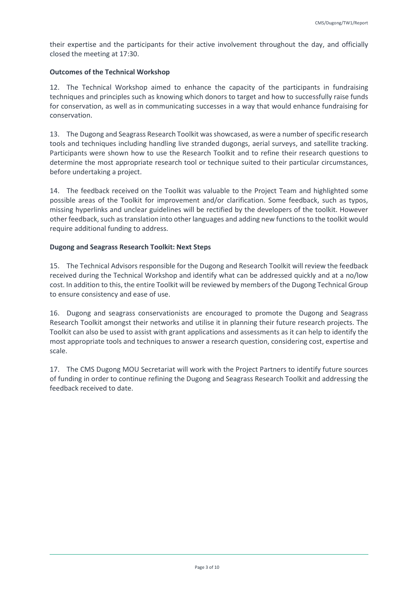their expertise and the participants for their active involvement throughout the day, and officially closed the meeting at 17:30.

# **Outcomes of the Technical Workshop**

12. The Technical Workshop aimed to enhance the capacity of the participants in fundraising techniques and principles such as knowing which donors to target and how to successfully raise funds for conservation, as well as in communicating successes in a way that would enhance fundraising for conservation.

13. The Dugong and Seagrass Research Toolkit was showcased, as were a number of specific research tools and techniques including handling live stranded dugongs, aerial surveys, and satellite tracking. Participants were shown how to use the Research Toolkit and to refine their research questions to determine the most appropriate research tool or technique suited to their particular circumstances, before undertaking a project.

14. The feedback received on the Toolkit was valuable to the Project Team and highlighted some possible areas of the Toolkit for improvement and/or clarification. Some feedback, such as typos, missing hyperlinks and unclear guidelines will be rectified by the developers of the toolkit. However other feedback, such astranslation into other languages and adding new functionsto the toolkit would require additional funding to address.

# **Dugong and Seagrass Research Toolkit: Next Steps**

15. The Technical Advisors responsible for the Dugong and Research Toolkit will review the feedback received during the Technical Workshop and identify what can be addressed quickly and at a no/low cost. In addition to this, the entire Toolkit will be reviewed by members of the Dugong Technical Group to ensure consistency and ease of use.

16. Dugong and seagrass conservationists are encouraged to promote the Dugong and Seagrass Research Toolkit amongst their networks and utilise it in planning their future research projects. The Toolkit can also be used to assist with grant applications and assessments as it can help to identify the most appropriate tools and techniques to answer a research question, considering cost, expertise and scale.

17. The CMS Dugong MOU Secretariat will work with the Project Partners to identify future sources of funding in order to continue refining the Dugong and Seagrass Research Toolkit and addressing the feedback received to date.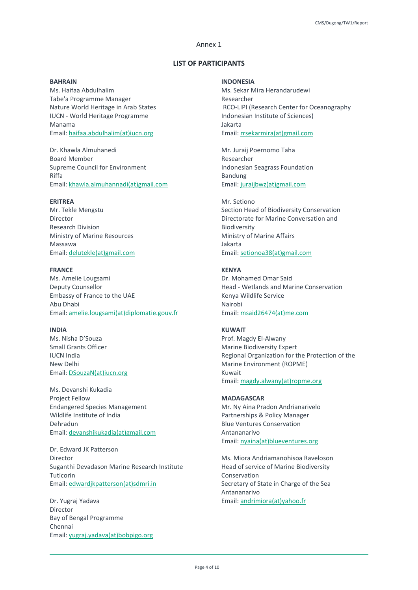# Annex 1

### **LIST OF PARTICIPANTS**

# **BAHRAIN**

Ms. Haifaa Abdulhalim Tabe'a Programme Manager Nature World Heritage in Arab States IUCN - World Heritage Programme Manama Email: haifaa.abdulhalim(at)iucn.org

Dr. Khawla Almuhanedi Board Member Supreme Council for Environment Riffa Email: khawla.almuhannadi(at)gmail.com

#### **ERITREA**

Mr. Tekle Mengstu Director Research Division Ministry of Marine Resources Massawa Email: delutekle(at)gmail.com

#### **FRANCE**

Ms. Amelie Lougsami Deputy Counsellor Embassy of France to the UAE Abu Dhabi Email: amelie.lougsami(at)diplomatie.gouv.fr

#### **INDIA**

Ms. Nisha D'Souza Small Grants Officer IUCN India New Delhi Email: DSouzaN(at)iucn.org

Ms. Devanshi Kukadia Project Fellow Endangered Species Management Wildlife Institute of India Dehradun Email: devanshikukadia(at)gmail.com

Dr. Edward JK Patterson Director Suganthi Devadason Marine Research Institute Tuticorin Email: edwardjkpatterson(at)sdmri.in

Dr. Yugraj Yadava Director Bay of Bengal Programme Chennai Email: yugraj.yadava(at)bobpigo.org

# **INDONESIA**

Ms. Sekar Mira Herandarudewi Researcher RCO-LIPI (Research Center for Oceanography Indonesian Institute of Sciences) Jakarta Email: rrsekarmira(at)gmail.com

Mr. Juraij Poernomo Taha Researcher Indonesian Seagrass Foundation Bandung Email: juraijbwz(at)gmail.com

#### Mr. Setiono

Section Head of Biodiversity Conservation Directorate for Marine Conversation and Biodiversity Ministry of Marine Affairs Jakarta Email: setionoa38(at)gmail.com

#### **KENYA**

Dr. Mohamed Omar Said Head - Wetlands and Marine Conservation Kenya Wildlife Service Nairobi Email: msaid26474(at)me.com

### **KUWAIT**

Prof. Magdy El-Alwany Marine Biodiversity Expert Regional Organization for the Protection of the Marine Environment (ROPME) Kuwait Email: magdy.alwany(at)ropme.org

### **MADAGASCAR**

Mr. Ny Aina Pradon Andrianarivelo Partnerships & Policy Manager Blue Ventures Conservation Antananarivo Email: nyaina(at)blueventures.org

Ms. Miora Andriamanohisoa Raveloson Head of service of Marine Biodiversity Conservation Secretary of State in Charge of the Sea Antananarivo Email: andrimiora(at)yahoo.fr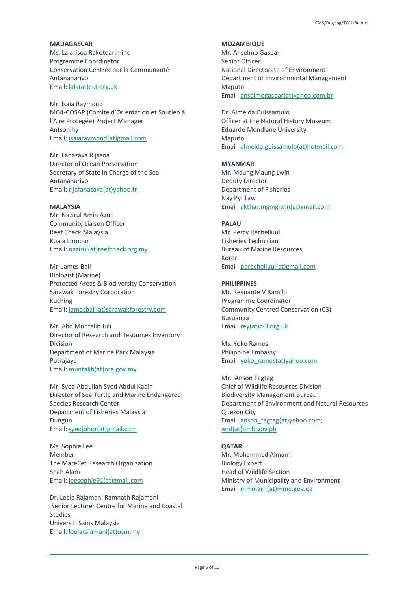**MADAGASCAR** Ms. Lalarisoa Rakotoarimino Programme Coordinator Conservation Centrée sur la Communauté Antananarivo Email: lala(at)c-3.org.uk

Mr. Isaia Raymond MG4-COSAP (Comité d'Orientation et Soutien à l'Aire Protegée) Project Manager Antsohihy Email: isaiaraymond(at)gmail.com

Mr. Fanazava Rijasoa Director of Ocean Preservation Secretary of State in Charge of the Sea Antananarivo Email: rijafanazava(at)yahoo.fr

### **MALAYSIA**

Mr. Nazirul Amin Azmi Community Liaison Officer Reef Check Malaysia Kuala Lumpur Email: nazirul(at)reefcheck.org.my

Mr. James Bali Biologist (Marine) Protected Areas & Biodiversity Conservation Sarawak Forestry Corporation Kuching Email: jamesbali(at)sarawakforestry.com

Mr. Abd Muntalib Juli Director of Research and Resources Inventory Division Department of Marine Park Malaysia Putrajaya Email: muntalib(at)nre.gov.my

Mr. Syed Abdullah Syed Abdul Kadir Director of Sea Turtle and Marine Endangered Species Research Center Department of Fisheries Malaysia Dungun Email: syedjohor(at)gmail.com

Ms. Sophie Lee Member The MareCet Research Organization Shah Alam Email: leesophie91(at)gmail.com

Dr. Leela Rajamani Ramnath Rajamani Senior Lecturer Centre for Marine and Coastal Studies Universiti Sains Malaysia Email: leelarajamani(at)usm.my

**MOZAMBIQUE**

Mr. Anselmo Gaspar Senior Officer National Directorate of Environment Department of Environmental Management Maputo Email: anselmogaspar(at)yahoo.com.br

Dr. Almeida Guissamulo Officer at the Natural History Museum Eduardo Mondlane University Maputo Email: almeida.guissamulo(at)hotmail.com

**MYANMAR** Mr. Maung Maung Lwin Deputy Director Department of Fisheries Nay Pyi Taw Email: akthar.mgmglwin(at)gmail.com

### **PALAU**

Mr. Percy Rechelluul Fisheries Technician Bureau of Marine Resources Koror Email: pbrechelluul(at)gmail.com

# **PHILIPPINES**

Mr. Reynante V Ramilo Programme Coordinator Community Centred Conservation (C3) Busuanga Email: rey(at)c-3.org.uk

Ms. Yoko Ramos Philippine Embassy Email: yoko\_ramos(at)yahoo.com

Mr. Anson Tagtag Chief of Wildlife Resources Division Biodiversity Management Bureau Department of Environment and Natural Resources Quezon City Email: anson\_tagtag(at)yahoo.com; wrd(at)bmb.gov.ph

### **QATAR**

Mr. Mohammed Almarri Biology Expert Head of Wildlife Section Ministry of Municipality and Environment Email: mmmarri(at)mme.gov.qa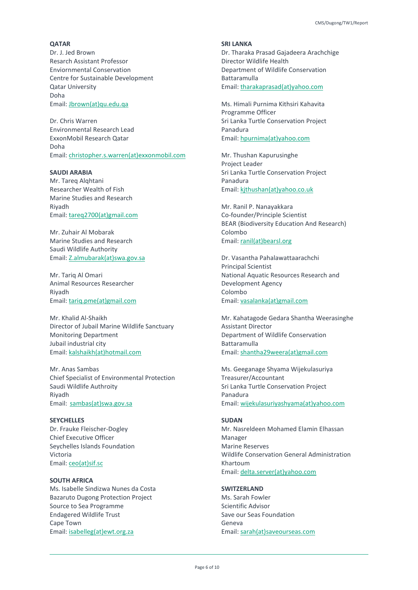#### **QATAR**

Dr. J. Jed Brown Resarch Assistant Professor Enviornmental Conservation Centre for Sustainable Development Qatar University Doha Email: Jbrown(at)qu.edu.qa

Dr. Chris Warren Environmental Research Lead ExxonMobil Research Qatar Doha Email: christopher.s.warren(at)exxonmobil.com

### **SAUDI ARABIA**

Mr. Tareq Alqhtani Researcher Wealth of Fish Marine Studies and Research Riyadh Email: tareq2700(at)gmail.com

Mr. Zuhair Al Mobarak Marine Studies and Research Saudi Wildlife Authority Email: Z.almubarak(at)swa.gov.sa

Mr. Tariq Al Omari Animal Resources Researcher Riyadh Email: tariq.pme(at)gmail.com

Mr. Khalid Al-Shaikh Director of Jubail Marine Wildlife Sanctuary Monitoring Department Jubail industrial city Email: kalshaikh(at)hotmail.com

Mr. Anas Sambas Chief Specialist of Environmental Protection Saudi Wildlife Authroity Riyadh Email: sambas(at)swa.gov.sa

# **SEYCHELLES**

Dr. Frauke Fleischer-Dogley Chief Executive Officer Seychelles Islands Foundation Victoria Email: ceo(at)sif.sc

#### **SOUTH AFRICA**

Ms. Isabelle Sindizwa Nunes da Costa Bazaruto Dugong Protection Project Source to Sea Programme Endagered Wildlife Trust Cape Town Email: isabelleg(at)ewt.org.za

**SRI LANKA** Dr. Tharaka Prasad Gajadeera Arachchige Director Wildlife Health Department of Wildlife Conservation Battaramulla Email: tharakaprasad(at)yahoo.com

Ms. Himali Purnima Kithsiri Kahavita Programme Officer Sri Lanka Turtle Conservation Project Panadura Email: hpurnima(at)yahoo.com

Mr. Thushan Kapurusinghe Project Leader Sri Lanka Turtle Conservation Project Panadura Email: kjthushan(at)yahoo.co.uk

Mr. Ranil P. Nanayakkara Co-founder/Principle Scientist BEAR (Biodiversity Education And Research) Colombo Email: ranil(at)bearsl.org

Dr. Vasantha Pahalawattaarachchi Principal Scientist National Aquatic Resources Research and Development Agency Colombo Email: vasalanka(at)gmail.com

Mr. Kahatagode Gedara Shantha Weerasinghe Assistant Director Department of Wildlife Conservation Battaramulla Email: shantha29weera(at)gmail.com

Ms. Geeganage Shyama Wijekulasuriya Treasurer/Accountant Sri Lanka Turtle Conservation Project Panadura Email: wijekulasuriyashyama(at)yahoo.com

#### **SUDAN**

Mr. Nasreldeen Mohamed Elamin Elhassan Manager Marine Reserves Wildlife Conservation General Administration Khartoum Email: delta.server(at)yahoo.com

# **SWITZERLAND**

Ms. Sarah Fowler Scientific Advisor Save our Seas Foundation Geneva Email: sarah(at)saveourseas.com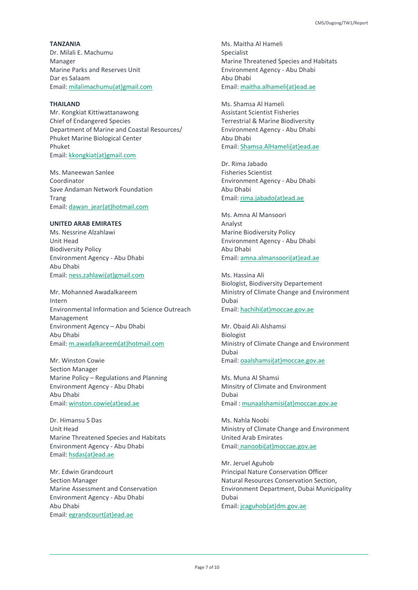**TANZANIA** Dr. Milali E. Machumu Manager Marine Parks and Reserves Unit Dar es Salaam Email: milalimachumu(at)gmail.com

### **THAILAND**

Mr. Kongkiat Kittiwattanawong Chief of Endangered Species Department of Marine and Coastal Resources/ Phuket Marine Biological Center Phuket Email: kkongkiat(at)gmail.com

Ms. Maneewan Sanlee Coordinator Save Andaman Network Foundation Trang Email: dawan\_jear(at)hotmail.com

### **UNITED ARAB EMIRATES**

Ms. Nessrine Alzahlawi Unit Head Biodiversity Policy Environment Agency - Abu Dhabi Abu Dhabi Email: ness.zahlawi(at)gmail.com

Mr. Mohanned Awadalkareem Intern Environmental Information and Science Outreach Management Environment Agency – Abu Dhabi Abu Dhabi Email: m.awadalkareem(at)hotmail.com

Mr. Winston Cowie Section Manager Marine Policy – Regulations and Planning Environment Agency - Abu Dhabi Abu Dhabi Email: winston.cowie(at)ead.ae

Dr. Himansu S Das Unit Head Marine Threatened Species and Habitats Environment Agency - Abu Dhabi Email: hsdas(at)ead.ae

Mr. Edwin Grandcourt Section Manager Marine Assessment and Conservation Environment Agency - Abu Dhabi Abu Dhabi Email: egrandcourt(at)ead.ae

Ms. Maitha Al Hameli Specialist Marine Threatened Species and Habitats Environment Agency - Abu Dhabi Abu Dhabi Email: maitha.alhameli(at)ead.ae

Ms. Shamsa Al Hameli Assistant Scientist Fisheries Terrestrial & Marine Biodiversity Environment Agency - Abu Dhabi Abu Dhabi Email: Shamsa.AlHameli(at)ead.ae

Dr. Rima Jabado Fisheries Scientist Environment Agency - Abu Dhabi Abu Dhabi Email: rima.jabado(at)ead.ae

Ms. Amna Al Mansoori Analyst Marine Biodiversity Policy Environment Agency - Abu Dhabi Abu Dhabi Email: amna.almansoori(at)ead.ae

Ms. Hassina Ali Biologist, Biodiversity Departement Ministry of Climate Change and Environment Dubai Email: hachihi(at)moccae.gov.ae

Mr. Obaid Ali Alshamsi Biologist Ministry of Climate Change and Environment Dubai Email: oaalshamsi(at)moccae.gov.ae

Ms. Muna Al Shamsi Minsitry of Climate and Environment Dubai Email : munaalshamisi(at)moccae.gov.ae

Ms. Nahla Noobi Ministry of Climate Change and Environment United Arab Emirates Email: nanoobi(at)moccae.gov.ae

Mr. Jeruel Aguhob Principal Nature Conservation Officer Natural Resources Conservation Section, Environment Department, Dubai Municipality Dubai Email: jcaguhob(at)dm.gov.ae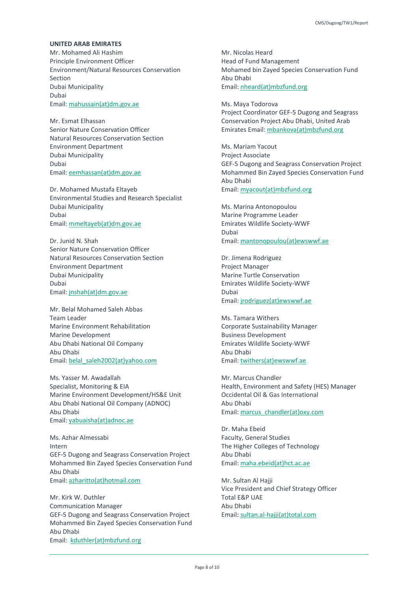#### **UNITED ARAB EMIRATES**

Mr. Mohamed Ali Hashim Principle Environment Officer Environment/Natural Resources Conservation Section Dubai Municipality Dubai Email: mahussain(at)dm.gov.ae

Mr. Esmat Elhassan Senior Nature Conservation Officer Natural Resources Conservation Section Environment Department Dubai Municipality Dubai Email: eemhassan(at)dm.gov.ae

Dr. Mohamed Mustafa Eltayeb Environmental Studies and Research Specialist Dubai Municipality Dubai Email: mmeltayeb(at)dm.gov.ae

Dr. Junid N. Shah Senior Nature Conservation Officer Natural Resources Conservation Section Environment Department Dubai Municipality Dubai Email: jnshah(at)dm.gov.ae

Mr. Belal Mohamed Saleh Abbas Team Leader Marine Environment Rehabilitation Marine Development Abu Dhabi National Oil Company Abu Dhabi Email: belal\_saleh2002(at)yahoo.com

Ms. Yasser M. Awadallah Specialist, Monitoring & EIA Marine Environment Development/HS&E Unit Abu Dhabi National Oil Company (ADNOC) Abu Dhabi Email: yabuaisha(at)adnoc.ae

Ms. Azhar Almessabi Intern GEF-5 Dugong and Seagrass Conservation Project Mohammed Bin Zayed Species Conservation Fund Abu Dhabi Email: azharitto(at)hotmail.com

Mr. Kirk W. Duthler Communication Manager GEF-5 Dugong and Seagrass Conservation Project Mohammed Bin Zayed Species Conservation Fund Abu Dhabi Email: kduthler(at)mbzfund.org

Mr. Nicolas Heard Head of Fund Management Mohamed bin Zayed Species Conservation Fund Abu Dhabi Email: nheard(at)mbzfund.org

Ms. Maya Todorova Project Coordinator GEF-5 Dugong and Seagrass Conservation Project Abu Dhabi, United Arab Emirates Email: mbankova(at)mbzfund.org

Ms. Mariam Yacout Project Associate GEF-5 Dugong and Seagrass Conservation Project Mohammed Bin Zayed Species Conservation Fund Abu Dhabi Email: myacout(at)mbzfund.org

Ms. Marina Antonopoulou Marine Programme Leader Emirates Wildlife Society-WWF Dubai Email: mantonopoulou(at)ewswwf.ae

Dr. Jimena Rodriguez Project Manager Marine Turtle Conservation Emirates Wildlife Society-WWF Dubai Email: jrodriguez(at)ewswwf.ae

Ms. Tamara Withers Corporate Sustainability Manager Business Development Emirates Wildlife Society-WWF Abu Dhabi Email: twithers(at)ewswwf.ae

Mr. Marcus Chandler Health, Environment and Safety (HES) Manager Occidental Oil & Gas International Abu Dhabi Email: marcus\_chandler(at)oxy.com

Dr. Maha Ebeid Faculty, General Studies The Higher Colleges of Technology Abu Dhabi Email: maha.ebeid(at)hct.ac.ae

Mr. Sultan Al Hajji Vice President and Chief Strategy Officer Total E&P UAE Abu Dhabi Email: sultan.al-hajji(at)total.com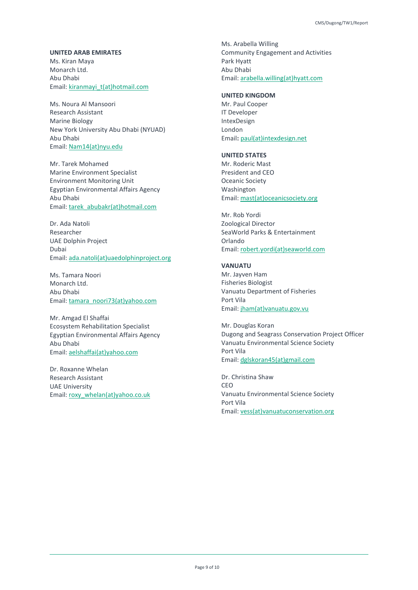### **UNITED ARAB EMIRATES**

Ms. Kiran Maya Monarch Ltd. Abu Dhabi Email: kiranmayi\_t(at)hotmail.com

Ms. Noura Al Mansoori Research Assistant Marine Biology New York University Abu Dhabi (NYUAD) Abu Dhabi Email: Nam14(at)nyu.edu

Mr. Tarek Mohamed Marine Environment Specialist Environment Monitoring Unit Egyptian Environmental Affairs Agency Abu Dhabi Email: tarek\_abubakr(at)hotmail.com

Dr. Ada Natoli Researcher UAE Dolphin Project Dubai Email: ada.natoli(at)uaedolphinproject.org

Ms. Tamara Noori Monarch Ltd. Abu Dhabi Email: tamara\_noori73(at)yahoo.com

Mr. Amgad El Shaffai Ecosystem Rehabilitation Specialist Egyptian Environmental Affairs Agency Abu Dhabi Email: aelshaffai(at)yahoo.com

Dr. Roxanne Whelan Research Assistant UAE University Email: roxy\_whelan(at)yahoo.co.uk

Ms. Arabella Willing Community Engagement and Activities Park Hyatt Abu Dhabi Email: arabella.willing(at)hyatt.com

### **UNITED KINGDOM**

Mr. Paul Cooper IT Developer IntexDesign London Email**:** paul(at)intexdesign.net

### **UNITED STATES**

Mr. Roderic Mast President and CEO Oceanic Society Washington Email: mast(at)oceanicsociety.org

Mr. Rob Yordi Zoological Director SeaWorld Parks & Entertainment Orlando Email: robert.yordi(at)seaworld.com

### **VANUATU**

Mr. Jayven Ham Fisheries Biologist Vanuatu Department of Fisheries Port Vila Email: jham(at)vanuatu.gov.vu

Mr. Douglas Koran Dugong and Seagrass Conservation Project Officer Vanuatu Environmental Science Society Port Vila Email: dglskoran45(at)gmail.com

Dr. Christina Shaw CEO Vanuatu Environmental Science Society Port Vila Email: vess(at)vanuatuconservation.org